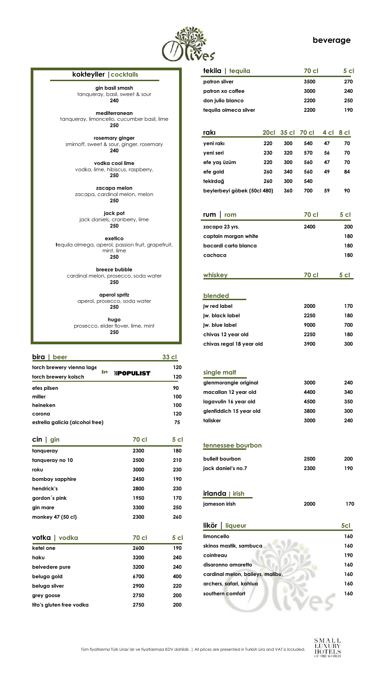

## **beverage**

Tüm fiyatlarımız Türk Lirası'dır ve fiyatlarımıza KDV dahildir. | All prices are presented in Turkish Lira and VAT is included.



| $\operatorname{\mathsf{cin}} \mid \operatorname{\mathsf{gin}}$ | <b>70 cl</b> | 5 <sub>cl</sub> |
|----------------------------------------------------------------|--------------|-----------------|
| tangueray                                                      | 2300         | 180             |
| tanqueray no 10                                                | 2500         | 210             |
| roku                                                           | 3000         | 230             |
| bombay sapphire                                                | 2450         | 190             |
| hendrick's                                                     | 2800         | 230             |
| gordon's pink                                                  | 1950         | 170             |
| gin mare                                                       | 3300         | 250             |
| monkey 47 (50 cl)                                              | 2300         | 260             |
|                                                                |              |                 |
| votka   vodka                                                  | <b>70 cl</b> | 5 <sub>cl</sub> |
| ketel one                                                      | 2600         | 190             |
| haku                                                           | 3200         | 240             |
| belvedere pure                                                 | 3200         | 240             |
| beluga gold                                                    | 6700         | 400             |
| beluga silver                                                  | 2900         | 220             |
| grey goose                                                     | 2750         | 200             |
| tito's gluten free vodka                                       | 2750         | 200             |

| tekila   tequila            |      |       | <b>70 cl</b> |      | 5 cl            |
|-----------------------------|------|-------|--------------|------|-----------------|
| patron silver               |      |       | 3500         |      | 270             |
| patron xo coffee            |      |       | 3000         |      | 240             |
| don julio blanco            |      |       | 2200         |      | 250             |
| tequila olmeca silver       |      |       | 2200         |      | 190             |
|                             |      |       |              |      |                 |
| rakı                        | 20cl | 35 cl | <b>70 cl</b> | 4 cl | 8 cl            |
| yeni rakı                   | 220  | 300   | 540          | 47   | 70              |
| yeni seri                   | 230  | 320   | 570          | 56   | 70              |
| efe yaş üzüm                | 220  | 300   | 560          | 47   | 70              |
| efe gold                    | 260  | 340   | 560          | 49   | 84              |
| tekirdağ                    | 260  | 300   | 540          |      |                 |
| beylerbeyi göbek (50cl 480) |      | 360   | 700          | 59   | 90              |
|                             |      |       |              |      |                 |
| rum<br>rom                  |      |       | <b>70 cl</b> |      | 5 <sub>cl</sub> |
| zacapa 23 yrs.              |      |       | 2400         |      | 200             |
| captain morgan white        |      |       |              |      | 180             |
| bacardi carta blanca        |      |       |              |      | 180             |
| cachaca                     |      |       |              |      | 180             |
|                             |      |       |              |      |                 |
| whiskey                     |      |       | 70 cl        |      | 5 <sub>cl</sub> |
| blended                     |      |       |              |      |                 |
| jw red label                |      |       |              |      | 170             |
|                             |      |       | 2000<br>2250 |      |                 |
| jw. black label             |      |       |              |      | 180             |
| jw. blue label              |      |       | 9000         |      | 700             |
| chivas 12 year old          |      |       | 2250         |      | 180             |
| chivas regal 18 year old    |      |       | 3900         |      | 300             |
|                             |      |       |              |      |                 |
| single malt                 |      |       |              |      |                 |
| glenmorangie original       |      |       | 3000         |      | 240             |
| macallan 12 year old        |      |       | 4400         |      | 340             |
| lagavulin 16 year old       |      |       | 4500         |      | 350             |
| glenfiddich 15 year old     |      |       | 3800         |      | 300             |
| talisker                    |      |       | 3000         |      | 240             |
|                             |      |       |              |      |                 |
| tennessee bourbon           |      |       |              |      |                 |
|                             |      |       |              |      |                 |
| bulleit bourbon             |      |       | 2500         |      | 200             |
| jack daniel's no.7          |      |       | 2300         |      | 190             |
|                             |      |       |              |      |                 |
| irlanda   irish             |      |       |              |      |                 |

| bira<br>beer                                    | 33 cl |
|-------------------------------------------------|-------|
| torch brewery vienna lage                       | 120   |
| by<br><b>IHPOPULIST</b><br>torch brewery kolsch | 120   |
| efes pilsen                                     | 90    |
| miller                                          | 100   |
| heineken                                        | 100   |
| corona                                          | 120   |
| estrella galicia (alcohol free)                 | 75    |

**jameson irish 2000 170**

| likör   liqueur                  | 5cl |
|----------------------------------|-----|
| limoncello                       | 160 |
| skinos mastik, sambuca           | 160 |
| cointreau                        | 190 |
| disaronno amaretto               | 160 |
| cardinal melon, baileys, malibu, | 160 |
| archers, safari, kahlua          | 160 |
| southern comfort                 | 160 |
|                                  |     |
|                                  |     |

| kokteyller   cocktails |  |
|------------------------|--|
|------------------------|--|

**gin basil smash** tanqueray, basil, sweet & sour **240**

**mediterranean** tanqueray, limoncello, cucumber basil, lime **250**

**rosemary ginger** smirnoff, sweet & sour, ginger, rosemary **240**

**vodka cool lime** vodka, lime, hibiscus, raspberry, **250**

**zacapa melon** zacapa, cardinal melon, melon **250**

**jack pot** jack daniels, cranberry, lime **250**

**exetico t**equila olmega, aperol, passion fruit, grapefruit, mint, lime **250**

**breeze bubble** cardinal melon, prosecco, soda water **250**

> **aperol spritz** aperol, prosecco, soda water **250**

**hugo** prosecco, elder flover, lime, mint **250**